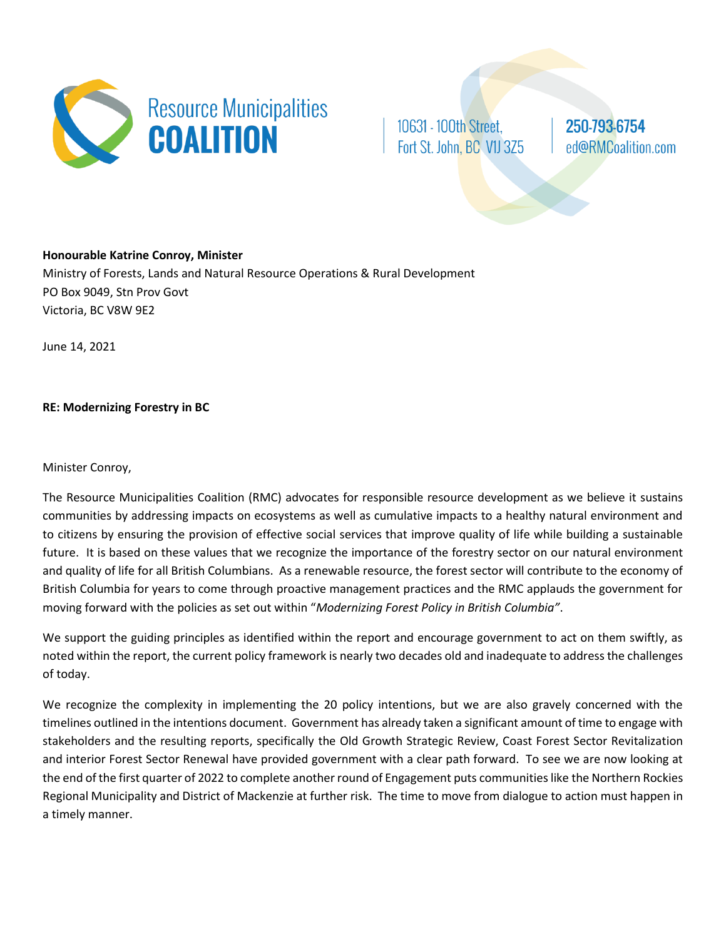

10631 - 100th Street, Fort St. John, BC V1J 3Z5

250-793-6754 ed@RMCoalition.com

**Honourable Katrine Conroy, Minister** Ministry of Forests, Lands and Natural Resource Operations & Rural Development PO Box 9049, Stn Prov Govt Victoria, BC V8W 9E2

June 14, 2021

**RE: Modernizing Forestry in BC**

Minister Conroy,

The Resource Municipalities Coalition (RMC) advocates for responsible resource development as we believe it sustains communities by addressing impacts on ecosystems as well as cumulative impacts to a healthy natural environment and to citizens by ensuring the provision of effective social services that improve quality of life while building a sustainable future. It is based on these values that we recognize the importance of the forestry sector on our natural environment and quality of life for all British Columbians. As a renewable resource, the forest sector will contribute to the economy of British Columbia for years to come through proactive management practices and the RMC applauds the government for moving forward with the policies as set out within "*Modernizing Forest Policy in British Columbia"*.

We support the guiding principles as identified within the report and encourage government to act on them swiftly, as noted within the report, the current policy framework is nearly two decades old and inadequate to address the challenges of today.

We recognize the complexity in implementing the 20 policy intentions, but we are also gravely concerned with the timelines outlined in the intentions document. Government has already taken a significant amount of time to engage with stakeholders and the resulting reports, specifically the Old Growth Strategic Review, Coast Forest Sector Revitalization and interior Forest Sector Renewal have provided government with a clear path forward. To see we are now looking at the end of the first quarter of 2022 to complete another round of Engagement puts communities like the Northern Rockies Regional Municipality and District of Mackenzie at further risk. The time to move from dialogue to action must happen in a timely manner.